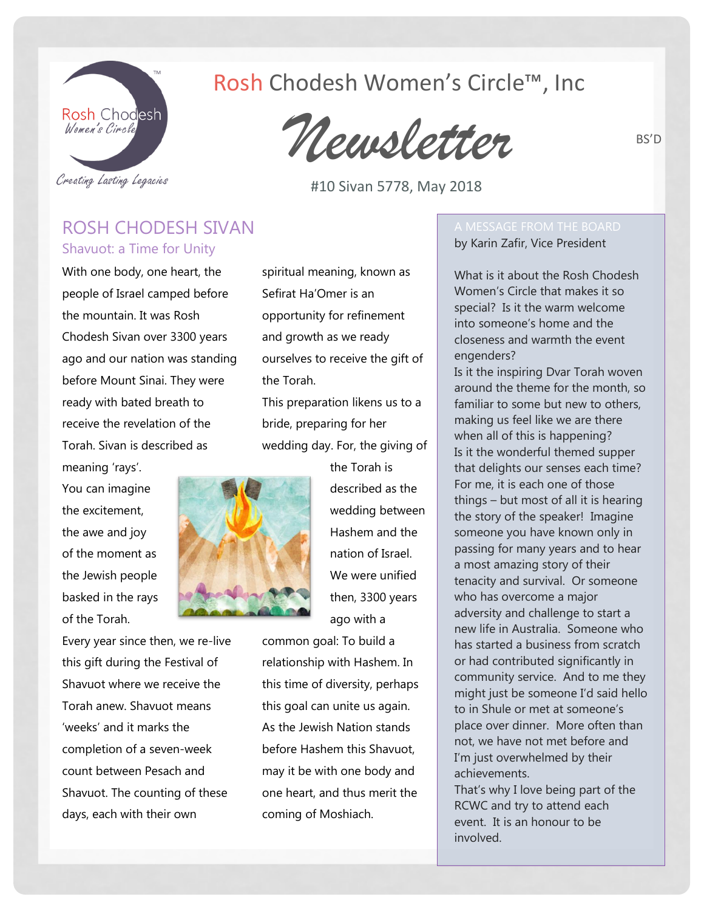

## Rosh Chodesh Women's Circle™, Inc

*Newsletter*

#10 Sivan 5778, May 2018

### ROSH CHODESH SIVAN Shavuot: a Time for Unity

With one body, one heart, the people of Israel camped before the mountain. It was Rosh Chodesh Sivan over 3300 years ago and our nation was standing before Mount Sinai. They were ready with bated breath to receive the revelation of the Torah. Sivan is described as meaning 'rays'.

You can imagine the excitement, the awe and joy of the moment as the Jewish people basked in the rays of the Torah.

Every year since then, we re-live this gift during the Festival of Shavuot where we receive the Torah anew. Shavuot means 'weeks' and it marks the completion of a seven-week count between Pesach and Shavuot. The counting of these days, each with their own

spiritual meaning, known as Sefirat Ha'Omer is an opportunity for refinement and growth as we ready ourselves to receive the gift of the Torah.

This preparation likens us to a bride, preparing for her wedding day. For, the giving of



the Torah is described as the wedding between Hashem and the nation of Israel. We were unified then, 3300 years ago with a

common goal: To build a relationship with Hashem. In this time of diversity, perhaps this goal can unite us again. As the Jewish Nation stands before Hashem this Shavuot, may it be with one body and one heart, and thus merit the coming of Moshiach.

# by Karin Zafir, Vice President

What is it about the Rosh Chodesh Women's Circle that makes it so special? Is it the warm welcome into someone's home and the closeness and warmth the event engenders?

Is it the inspiring Dvar Torah woven around the theme for the month, so familiar to some but new to others, making us feel like we are there when all of this is happening? Is it the wonderful themed supper that delights our senses each time? For me, it is each one of those things – but most of all it is hearing the story of the speaker! Imagine someone you have known only in passing for many years and to hear a most amazing story of their tenacity and survival. Or someone who has overcome a major adversity and challenge to start a new life in Australia. Someone who has started a business from scratch or had contributed significantly in community service. And to me they might just be someone I'd said hello to in Shule or met at someone's place over dinner. More often than not, we have not met before and I'm just overwhelmed by their achievements.

That's why I love being part of the RCWC and try to attend each event. It is an honour to be involved.

BS'D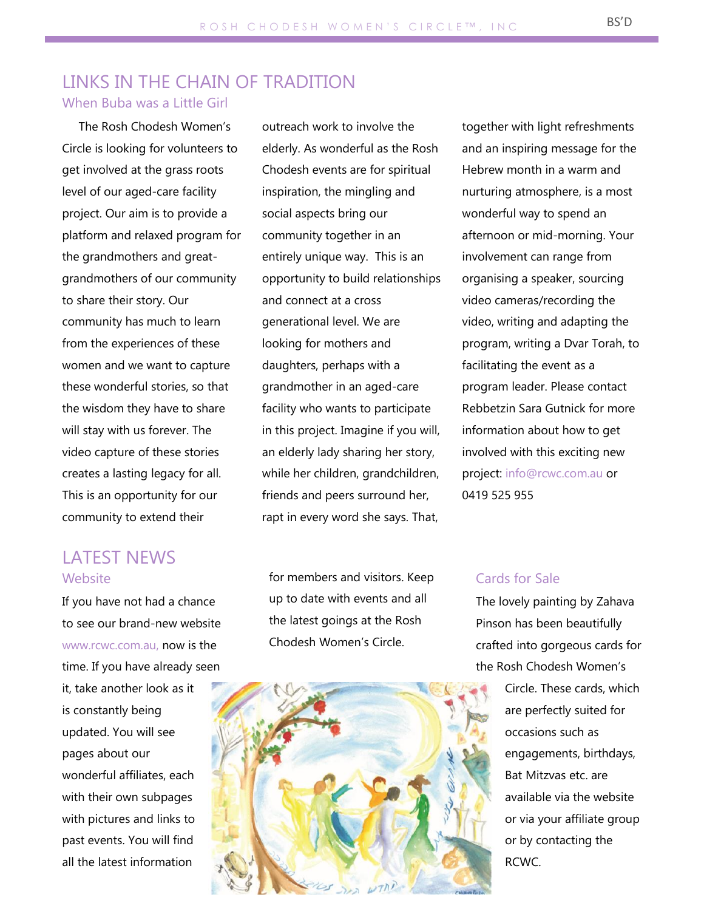#### LINKS IN THE CHAIN OF TRADITION When Buba was a Little Girl

The Rosh Chodesh Women's Circle is looking for volunteers to get involved at the grass roots level of our aged-care facility project. Our aim is to provide a platform and relaxed program for the grandmothers and greatgrandmothers of our community to share their story. Our community has much to learn from the experiences of these women and we want to capture these wonderful stories, so that the wisdom they have to share will stay with us forever. The video capture of these stories creates a lasting legacy for all. This is an opportunity for our community to extend their

## LATEST NEWS **Website**

If you have not had a chance to see our brand-new website [www.rcwc.com.au,](http://www.rcwc.com.au/) now is the time. If you have already seen it, take another look as it is constantly being updated. You will see pages about our wonderful affiliates, each with their own subpages with pictures and links to past events. You will find all the latest information

outreach work to involve the elderly. As wonderful as the Rosh Chodesh events are for spiritual inspiration, the mingling and social aspects bring our community together in an entirely unique way. This is an opportunity to build relationships and connect at a cross generational level. We are looking for mothers and daughters, perhaps with a grandmother in an aged-care facility who wants to participate in this project. Imagine if you will, an elderly lady sharing her story, while her children, grandchildren, friends and peers surround her, rapt in every word she says. That,

for members and visitors. Keep up to date with events and all the latest goings at the Rosh Chodesh Women's Circle.



together with light refreshments and an inspiring message for the Hebrew month in a warm and nurturing atmosphere, is a most wonderful way to spend an afternoon or mid-morning. Your involvement can range from organising a speaker, sourcing video cameras/recording the video, writing and adapting the program, writing a Dvar Torah, to facilitating the event as a program leader. Please contact Rebbetzin Sara Gutnick for more information about how to get involved with this exciting new project: [info@rcwc.com.au](mailto:info@rcwc.com.au) or 0419 525 955

#### Cards for Sale

The lovely painting by Zahava Pinson has been beautifully crafted into gorgeous cards for the Rosh Chodesh Women's

> Circle. These cards, which are perfectly suited for occasions such as engagements, birthdays, Bat Mitzvas etc. are available via the website or via your affiliate group or by contacting the RCWC.